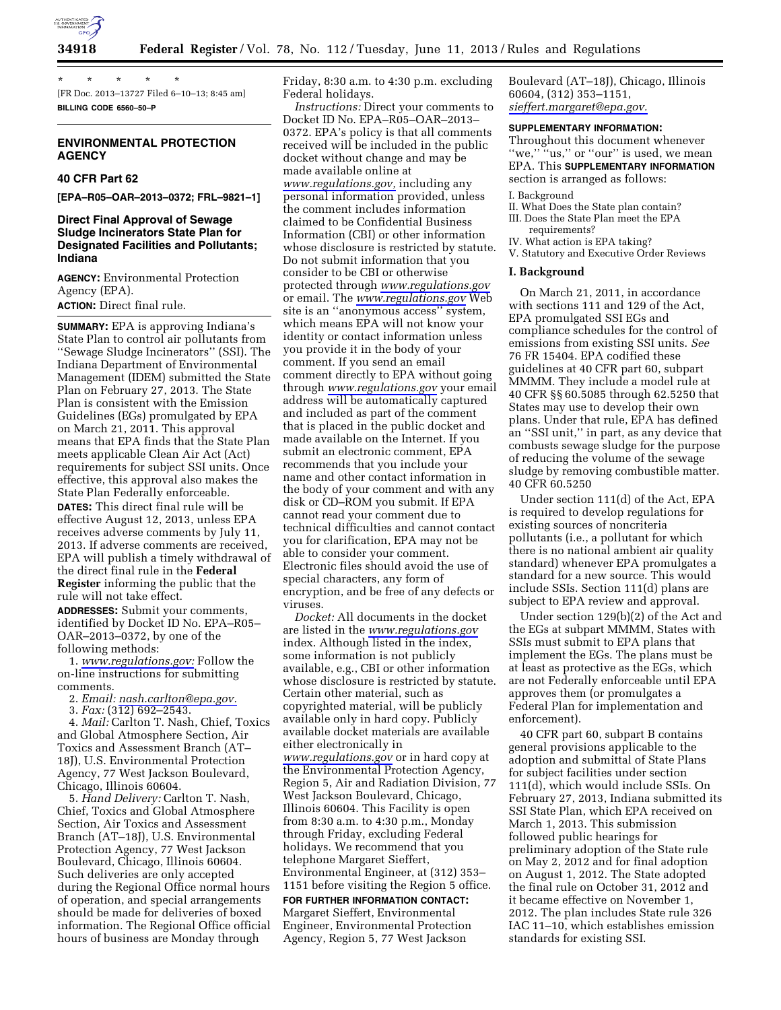

\* \* \* \* \* [FR Doc. 2013–13727 Filed 6–10–13; 8:45 am] **BILLING CODE 6560–50–P** 

## **ENVIRONMENTAL PROTECTION AGENCY**

# **40 CFR Part 62**

**[EPA–R05–OAR–2013–0372; FRL–9821–1]** 

### **Direct Final Approval of Sewage Sludge Incinerators State Plan for Designated Facilities and Pollutants; Indiana**

**AGENCY:** Environmental Protection Agency (EPA). **ACTION:** Direct final rule.

**SUMMARY:** EPA is approving Indiana's State Plan to control air pollutants from ''Sewage Sludge Incinerators'' (SSI). The Indiana Department of Environmental Management (IDEM) submitted the State Plan on February 27, 2013. The State Plan is consistent with the Emission Guidelines (EGs) promulgated by EPA on March 21, 2011. This approval means that EPA finds that the State Plan meets applicable Clean Air Act (Act) requirements for subject SSI units. Once effective, this approval also makes the State Plan Federally enforceable. **DATES:** This direct final rule will be effective August 12, 2013, unless EPA receives adverse comments by July 11, 2013. If adverse comments are received, EPA will publish a timely withdrawal of the direct final rule in the **Federal Register** informing the public that the rule will not take effect.

**ADDRESSES:** Submit your comments, identified by Docket ID No. EPA–R05– OAR–2013–0372, by one of the following methods:

1. *[www.regulations.gov:](http://www.regulations.gov)* Follow the on-line instructions for submitting comments.

2. *Email: [nash.carlton@epa.gov.](mailto:nash.carlton@epa.gov)* 

3. *Fax:* (312) 692–2543.

4. *Mail:* Carlton T. Nash, Chief, Toxics and Global Atmosphere Section, Air Toxics and Assessment Branch (AT– 18J), U.S. Environmental Protection Agency, 77 West Jackson Boulevard, Chicago, Illinois 60604.

5. *Hand Delivery:* Carlton T. Nash, Chief, Toxics and Global Atmosphere Section, Air Toxics and Assessment Branch (AT–18J), U.S. Environmental Protection Agency, 77 West Jackson Boulevard, Chicago, Illinois 60604. Such deliveries are only accepted during the Regional Office normal hours of operation, and special arrangements should be made for deliveries of boxed information. The Regional Office official hours of business are Monday through

Friday, 8:30 a.m. to 4:30 p.m. excluding Federal holidays.

*Instructions:* Direct your comments to Docket ID No. EPA–R05–OAR–2013– 0372. EPA's policy is that all comments received will be included in the public docket without change and may be made available online at *[www.regulations.gov,](http://www.regulations.gov)* including any personal information provided, unless the comment includes information claimed to be Confidential Business Information (CBI) or other information whose disclosure is restricted by statute. Do not submit information that you consider to be CBI or otherwise protected through *[www.regulations.gov](http://www.regulations.gov)*  or email. The *[www.regulations.gov](http://www.regulations.gov)* Web site is an ''anonymous access'' system, which means EPA will not know your identity or contact information unless you provide it in the body of your comment. If you send an email comment directly to EPA without going through *[www.regulations.gov](http://www.regulations.gov)* your email address will be automatically captured and included as part of the comment that is placed in the public docket and made available on the Internet. If you submit an electronic comment, EPA recommends that you include your name and other contact information in the body of your comment and with any disk or CD–ROM you submit. If EPA cannot read your comment due to technical difficulties and cannot contact you for clarification, EPA may not be able to consider your comment. Electronic files should avoid the use of special characters, any form of encryption, and be free of any defects or viruses.

*Docket:* All documents in the docket are listed in the *[www.regulations.gov](http://www.regulations.gov)*  index. Although listed in the index, some information is not publicly available, e.g., CBI or other information whose disclosure is restricted by statute. Certain other material, such as copyrighted material, will be publicly available only in hard copy. Publicly available docket materials are available either electronically in *[www.regulations.gov](http://www.regulations.gov)* or in hard copy at the Environmental Protection Agency, Region 5, Air and Radiation Division, 77 West Jackson Boulevard, Chicago, Illinois 60604. This Facility is open from 8:30 a.m. to 4:30 p.m., Monday through Friday, excluding Federal holidays. We recommend that you telephone Margaret Sieffert, Environmental Engineer, at (312) 353– 1151 before visiting the Region 5 office.

**FOR FURTHER INFORMATION CONTACT:**  Margaret Sieffert, Environmental Engineer, Environmental Protection Agency, Region 5, 77 West Jackson

Boulevard (AT–18J), Chicago, Illinois 60604, (312) 353–1151, *[sieffert.margaret@epa.gov.](mailto:sieffert.margaret@epa.gov)* 

#### **SUPPLEMENTARY INFORMATION:**

Throughout this document whenever "we," "us," or "our" is used, we mean EPA. This **SUPPLEMENTARY INFORMATION** section is arranged as follows:

#### I. Background

- II. What Does the State plan contain?
- III. Does the State Plan meet the EPA requirements?
- IV. What action is EPA taking?
- V. Statutory and Executive Order Reviews

### **I. Background**

On March 21, 2011, in accordance with sections 111 and 129 of the Act, EPA promulgated SSI EGs and compliance schedules for the control of emissions from existing SSI units. *See*  76 FR 15404. EPA codified these guidelines at 40 CFR part 60, subpart MMMM. They include a model rule at 40 CFR §§ 60.5085 through 62.5250 that States may use to develop their own plans. Under that rule, EPA has defined an ''SSI unit,'' in part, as any device that combusts sewage sludge for the purpose of reducing the volume of the sewage sludge by removing combustible matter. 40 CFR 60.5250

Under section 111(d) of the Act, EPA is required to develop regulations for existing sources of noncriteria pollutants (i.e., a pollutant for which there is no national ambient air quality standard) whenever EPA promulgates a standard for a new source. This would include SSIs. Section 111(d) plans are subject to EPA review and approval.

Under section 129(b)(2) of the Act and the EGs at subpart MMMM, States with SSIs must submit to EPA plans that implement the EGs. The plans must be at least as protective as the EGs, which are not Federally enforceable until EPA approves them (or promulgates a Federal Plan for implementation and enforcement).

40 CFR part 60, subpart B contains general provisions applicable to the adoption and submittal of State Plans for subject facilities under section 111(d), which would include SSIs. On February 27, 2013, Indiana submitted its SSI State Plan, which EPA received on March 1, 2013. This submission followed public hearings for preliminary adoption of the State rule on May 2, 2012 and for final adoption on August 1, 2012. The State adopted the final rule on October 31, 2012 and it became effective on November 1, 2012. The plan includes State rule 326 IAC 11–10, which establishes emission standards for existing SSI.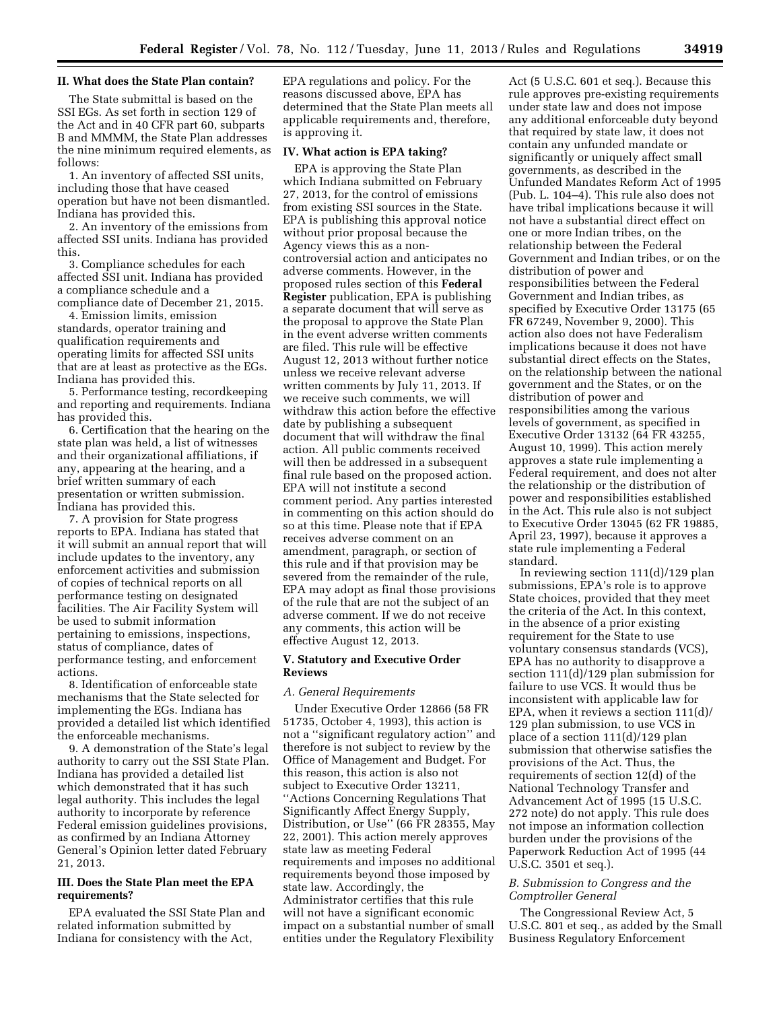#### **II. What does the State Plan contain?**

The State submittal is based on the SSI EGs. As set forth in section 129 of the Act and in 40 CFR part 60, subparts B and MMMM, the State Plan addresses the nine minimum required elements, as follows:

1. An inventory of affected SSI units, including those that have ceased operation but have not been dismantled. Indiana has provided this.

2. An inventory of the emissions from affected SSI units. Indiana has provided this.

3. Compliance schedules for each affected SSI unit. Indiana has provided a compliance schedule and a compliance date of December 21, 2015.

4. Emission limits, emission standards, operator training and qualification requirements and operating limits for affected SSI units that are at least as protective as the EGs. Indiana has provided this.

5. Performance testing, recordkeeping and reporting and requirements. Indiana has provided this.

6. Certification that the hearing on the state plan was held, a list of witnesses and their organizational affiliations, if any, appearing at the hearing, and a brief written summary of each presentation or written submission. Indiana has provided this.

7. A provision for State progress reports to EPA. Indiana has stated that it will submit an annual report that will include updates to the inventory, any enforcement activities and submission of copies of technical reports on all performance testing on designated facilities. The Air Facility System will be used to submit information pertaining to emissions, inspections, status of compliance, dates of performance testing, and enforcement actions.

8. Identification of enforceable state mechanisms that the State selected for implementing the EGs. Indiana has provided a detailed list which identified the enforceable mechanisms.

9. A demonstration of the State's legal authority to carry out the SSI State Plan. Indiana has provided a detailed list which demonstrated that it has such legal authority. This includes the legal authority to incorporate by reference Federal emission guidelines provisions, as confirmed by an Indiana Attorney General's Opinion letter dated February 21, 2013.

### **III. Does the State Plan meet the EPA requirements?**

EPA evaluated the SSI State Plan and related information submitted by Indiana for consistency with the Act,

EPA regulations and policy. For the reasons discussed above, EPA has determined that the State Plan meets all applicable requirements and, therefore, is approving it.

#### **IV. What action is EPA taking?**

EPA is approving the State Plan which Indiana submitted on February 27, 2013, for the control of emissions from existing SSI sources in the State. EPA is publishing this approval notice without prior proposal because the Agency views this as a noncontroversial action and anticipates no adverse comments. However, in the proposed rules section of this **Federal Register** publication, EPA is publishing a separate document that will serve as the proposal to approve the State Plan in the event adverse written comments are filed. This rule will be effective August 12, 2013 without further notice unless we receive relevant adverse written comments by July 11, 2013. If we receive such comments, we will withdraw this action before the effective date by publishing a subsequent document that will withdraw the final action. All public comments received will then be addressed in a subsequent final rule based on the proposed action. EPA will not institute a second comment period. Any parties interested in commenting on this action should do so at this time. Please note that if EPA receives adverse comment on an amendment, paragraph, or section of this rule and if that provision may be severed from the remainder of the rule, EPA may adopt as final those provisions of the rule that are not the subject of an adverse comment. If we do not receive any comments, this action will be effective August 12, 2013.

#### **V. Statutory and Executive Order Reviews**

#### *A. General Requirements*

Under Executive Order 12866 (58 FR 51735, October 4, 1993), this action is not a ''significant regulatory action'' and therefore is not subject to review by the Office of Management and Budget. For this reason, this action is also not subject to Executive Order 13211, ''Actions Concerning Regulations That Significantly Affect Energy Supply, Distribution, or Use'' (66 FR 28355, May 22, 2001). This action merely approves state law as meeting Federal requirements and imposes no additional requirements beyond those imposed by state law. Accordingly, the Administrator certifies that this rule will not have a significant economic impact on a substantial number of small entities under the Regulatory Flexibility

Act (5 U.S.C. 601 et seq.). Because this rule approves pre-existing requirements under state law and does not impose any additional enforceable duty beyond that required by state law, it does not contain any unfunded mandate or significantly or uniquely affect small governments, as described in the Unfunded Mandates Reform Act of 1995 (Pub. L. 104–4). This rule also does not have tribal implications because it will not have a substantial direct effect on one or more Indian tribes, on the relationship between the Federal Government and Indian tribes, or on the distribution of power and responsibilities between the Federal Government and Indian tribes, as specified by Executive Order 13175 (65 FR 67249, November 9, 2000). This action also does not have Federalism implications because it does not have substantial direct effects on the States, on the relationship between the national government and the States, or on the distribution of power and responsibilities among the various levels of government, as specified in Executive Order 13132 (64 FR 43255, August 10, 1999). This action merely approves a state rule implementing a Federal requirement, and does not alter the relationship or the distribution of power and responsibilities established in the Act. This rule also is not subject to Executive Order 13045 (62 FR 19885, April 23, 1997), because it approves a state rule implementing a Federal standard.

In reviewing section 111(d)/129 plan submissions, EPA's role is to approve State choices, provided that they meet the criteria of the Act. In this context, in the absence of a prior existing requirement for the State to use voluntary consensus standards (VCS), EPA has no authority to disapprove a section 111(d)/129 plan submission for failure to use VCS. It would thus be inconsistent with applicable law for EPA, when it reviews a section 111(d)/ 129 plan submission, to use VCS in place of a section 111(d)/129 plan submission that otherwise satisfies the provisions of the Act. Thus, the requirements of section 12(d) of the National Technology Transfer and Advancement Act of 1995 (15 U.S.C. 272 note) do not apply. This rule does not impose an information collection burden under the provisions of the Paperwork Reduction Act of 1995 (44 U.S.C. 3501 et seq.).

### *B. Submission to Congress and the Comptroller General*

The Congressional Review Act, 5 U.S.C. 801 et seq., as added by the Small Business Regulatory Enforcement